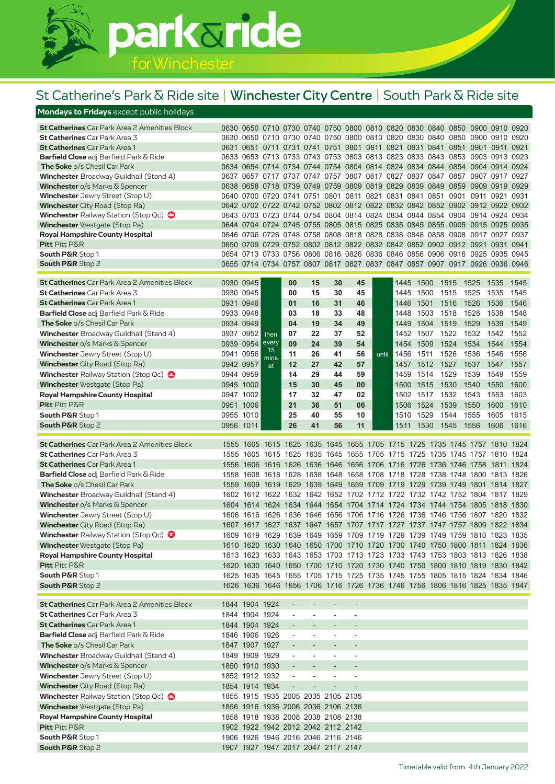

## St Catherine's Park & Ride site | Winchester City Centre | South Park & Ride site

| <b>Mondays to Fridays</b> except public holidays                                             |           |                                  |             |                                    |                          |                          |                                                                            |       |              |              |              |              |                |              |
|----------------------------------------------------------------------------------------------|-----------|----------------------------------|-------------|------------------------------------|--------------------------|--------------------------|----------------------------------------------------------------------------|-------|--------------|--------------|--------------|--------------|----------------|--------------|
| <b>St Catherines</b> Car Park Area 2 Amenities Block                                         |           |                                  |             |                                    |                          |                          | 0630 0650 0710 0730 0740 0750 0800 0810 0820 0830 0840 0850 0900 0910 0920 |       |              |              |              |              |                |              |
| St Catherines Car Park Area 3                                                                |           |                                  |             |                                    |                          |                          | 0630 0650 0710 0730 0740 0750 0800 0810 0820 0830 0840 0850 0900 0910 0920 |       |              |              |              |              |                |              |
| <b>St Catherines</b> Car Park Area 1                                                         |           |                                  |             |                                    |                          |                          | 0631 0651 0711 0731 0741 0751 0801 0811 0821 0831 0841 0851                |       |              |              |              |              | 0901 0911      | 0921         |
| <b>Barfield Close</b> adj Barfield Park & Ride                                               |           |                                  |             |                                    |                          |                          | 0633 0653 0713 0733 0743 0753 0803 0813 0823 0833 0843 0853 0903 0913 0923 |       |              |              |              |              |                |              |
| <b>The Soke</b> o/s Chesil Car Park                                                          |           |                                  |             |                                    |                          |                          | 0634 0654 0714 0734 0744 0754 0804 0814 0824 0834 0844 0854                |       |              |              |              |              | 0904 0914 0924 |              |
| <b>Winchester</b> Broadway Guildhall (Stand 4)                                               |           |                                  |             |                                    |                          |                          | 0637 0657 0717 0737 0747 0757 0807 0817 0827 0837 0847 0857 0907 0917 0927 |       |              |              |              |              |                |              |
| <b>Winchester</b> o/s Marks & Spencer                                                        |           |                                  |             |                                    |                          |                          | 0638 0658 0718 0739 0749 0759 0809 0819 0829 0839 0849                     |       |              |              | 0859         |              | 0909 0919      | 0929         |
| Winchester Jewry Street (Stop U)                                                             |           |                                  |             |                                    |                          |                          | 0640 0700 0720 0741 0751 0801 0811 0821 0831 0841 0851                     |       |              |              | 0901         |              | 0911 0921 0931 |              |
| <b>Winchester</b> City Road (Stop Ra)                                                        |           |                                  |             |                                    |                          |                          | 0642 0702 0722 0742 0752 0802 0812 0822 0832 0842 0852 0902 0912 0922 0932 |       |              |              |              |              |                |              |
| Winchester Railway Station (Stop Qc)                                                         |           |                                  |             |                                    |                          |                          | 0643 0703 0723 0744 0754 0804 0814 0824 0834 0844 0854 0904 0914 0924 0934 |       |              |              |              |              |                |              |
| <b>Winchester</b> Westgate (Stop Pa)                                                         |           |                                  |             |                                    |                          |                          | 0644 0704 0724 0745 0755 0805 0815 0825 0835 0845 0855 0905                |       |              |              |              |              | 0915 0925      | 0935         |
| <b>Royal Hampshire County Hospital</b>                                                       |           |                                  |             |                                    |                          |                          | 0646 0706 0726 0748 0758 0808 0818 0828 0838 0848 0858 0908 0917 0927      |       |              |              |              |              |                | 0937         |
| Pitt Pitt P&R                                                                                |           |                                  |             |                                    |                          |                          | 0650 0709 0729 0752 0802 0812 0822 0832 0842 0852 0902 0912 0921 0931      |       |              |              |              |              |                | 0941         |
| <b>South P&amp;R Stop 1</b>                                                                  |           |                                  |             |                                    |                          |                          | 0654 0713 0733 0756 0806 0816 0826 0836 0846 0856 0906 0916 0925 0935 0945 |       |              |              |              |              |                |              |
| <b>South P&amp;R Stop 2</b>                                                                  |           |                                  |             |                                    |                          |                          | 0655 0714 0734 0757 0807 0817 0827 0837 0847 0857 0907 0917 0926 0936 0946 |       |              |              |              |              |                |              |
|                                                                                              |           |                                  |             |                                    |                          |                          |                                                                            |       |              |              |              |              |                |              |
| <b>St Catherines</b> Car Park Area 2 Amenities Block                                         |           | 0930 0945                        |             | 00                                 | 15                       | 30                       | 45                                                                         |       |              | 1445 1500    | 1515 1525    |              | 1535           | 1545         |
| <b>St Catherines</b> Car Park Area 3<br><b>St Catherines</b> Car Park Area 1                 |           | 0930 0945<br>0931 0946           |             | 00<br>01                           | 15<br>16                 | 30<br>31                 | 45<br>46                                                                   |       | 1445<br>1446 | 1500<br>1501 | 1515<br>1516 | 1525<br>1526 | 1535<br>1536   | 1545<br>1546 |
|                                                                                              |           |                                  |             |                                    |                          |                          |                                                                            |       |              |              |              |              |                |              |
| <b>Barfield Close</b> adj Barfield Park & Ride                                               |           | 0933 0948                        |             | 03                                 | 18                       | 33                       | 48                                                                         |       | 1448         | 1503         | 1518         | 1528         | 1538           | 1548         |
| <b>The Soke o/s Chesil Car Park</b>                                                          | 0934 0949 |                                  |             | 04                                 | 19                       | 34                       | 49                                                                         |       | 1449         | 1504         | 1519         | 1529         | 1539           | 1549         |
| <b>Winchester</b> Broadway Guildhall (Stand 4)                                               |           | 0937 0952                        | then        | 07                                 | 22                       | 37                       | 52                                                                         |       | 1452         | 1507         | 1522         | 1532         | 1542           | 1552         |
| <b>Winchester</b> $o/s$ Marks $\overline{\alpha}$ Spencer                                    | 0939 0954 |                                  | every<br>15 | 09                                 | 24                       | 39                       | 54                                                                         |       | 1454         | 1509         | 1524         | 1534         | 1544           | 1554         |
| Winchester Jewry Street (Stop U)                                                             | 0941 0956 |                                  | mins        | 11                                 | 26                       | 41                       | 56                                                                         | until | 1456         | 1511         | 1526         | 1536         | 1546           | 1556         |
| <b>Winchester</b> City Road (Stop Ra)                                                        | 0942 0957 |                                  | at          | 12                                 | 27                       | 42                       | 57                                                                         |       | 1457         | 1512         | 1527         | 1537         | 1547           | 1557         |
| Winchester Railway Station (Stop Qc)                                                         |           | 0944 0959                        |             | 14                                 | 29                       | 44                       | 59                                                                         |       | 1459         | 1514         | 1529         | 1539         | 1549           | 1559         |
| <b>Winchester</b> Westgate (Stop Pa)                                                         |           | 0945 1000                        |             | 15                                 | 30                       | 45                       | 00                                                                         |       | 1500         | 1515         | 1530         | 1540         | 1550           | 1600         |
| <b>Royal Hampshire County Hospital</b>                                                       |           | 0947 1002                        |             | 17                                 | 32                       | 47                       | 02                                                                         |       |              | 1502 1517    | 1532         | 1543         | 1553           | 1603         |
| <b>Pitt</b> Pitt P&R                                                                         |           | 0951 1006                        |             | 21                                 | 36                       | 51                       | 06                                                                         |       | 1506         | 1524         | 1539         | 1550         | 1600           | 1610         |
| <b>South P&amp;R Stop 1</b>                                                                  |           | 0955 1010                        |             | 25                                 | 40                       | 55                       | 10                                                                         |       | 1510         | 1529         | 1544         | 1555         | 1605           | 1615         |
| <b>South P&amp;R Stop 2</b>                                                                  | 0956 1011 |                                  |             | 26                                 | 41                       | 56                       | 11                                                                         |       |              | 1511 1530    | 1545         | 1556         | 1606           | 1616         |
| <b>St Catherines</b> Car Park Area 2 Amenities Block                                         |           |                                  |             |                                    |                          |                          | 1555 1605 1615 1625 1635 1645 1655 1705 1715 1725 1735 1745 1757 1810      |       |              |              |              |              |                | -1824        |
| <b>St Catherines</b> Car Park Area 3                                                         |           |                                  |             |                                    |                          |                          | 1555 1605 1615 1625 1635 1645 1655 1705 1715 1725 1735 1745 1757 1810 1824 |       |              |              |              |              |                |              |
| <b>St Catherines</b> Car Park Area 1                                                         | 1556      |                                  |             |                                    |                          |                          | 1606 1616 1626 1636 1646 1656 1706 1716 1726 1736 1746 1758 1811           |       |              |              |              |              |                | 1824         |
| <b>Barfield Close</b> adj Barfield Park & Ride                                               | 1558      |                                  |             |                                    |                          |                          | 1608 1618 1628 1638 1648 1658 1708 1718 1728 1738 1748 1800 1813 1826      |       |              |              |              |              |                |              |
| <b>The Soke o/s Chesil Car Park</b>                                                          | 1559      |                                  |             |                                    |                          |                          | 1609 1619 1629 1639 1649 1659 1709 1719 1729 1739 1749 1801 1814 1827      |       |              |              |              |              |                |              |
| <b>Winchester</b> Broadway Guildhall (Stand 4)                                               |           |                                  |             |                                    |                          |                          | 1602 1612 1622 1632 1642 1652 1702 1712 1722 1732 1742 1752 1804 1817      |       |              |              |              |              |                | 1829         |
| <b>Winchester</b> $o/s$ Marks $\overline{\alpha}$ Spencer                                    |           |                                  |             |                                    |                          |                          | 1604 1614 1624 1634 1644 1654 1704 1714 1724 1734 1744 1754 1805 1818      |       |              |              |              |              |                | 1830         |
| <b>Winchester</b> Jewry Street (Stop U)                                                      |           |                                  |             |                                    |                          |                          | 1606 1616 1626 1636 1646 1656 1706 1716 1726 1736 1746 1756 1807 1820 1832 |       |              |              |              |              |                |              |
| <b>Winchester</b> City Road (Stop Ra)                                                        |           |                                  |             |                                    |                          |                          | 1607 1617 1627 1637 1647 1657 1707 1717 1727 1737 1747 1757 1809 1822 1834 |       |              |              |              |              |                |              |
| Winchester Railway Station (Stop Qc)                                                         |           |                                  |             |                                    |                          |                          | 1609 1619 1629 1639 1649 1659 1709 1719 1729 1739 1749 1759 1810 1823 1835 |       |              |              |              |              |                |              |
| <b>Winchester</b> Westgate (Stop Pa)                                                         |           |                                  |             |                                    |                          |                          | 1610 1620 1630 1640 1650 1700 1710 1720 1730 1740 1750 1800 1811 1824 1836 |       |              |              |              |              |                |              |
| Royal Hampshire County Hospital                                                              |           |                                  |             |                                    |                          |                          | 1613 1623 1633 1643 1653 1703 1713 1723 1733 1743 1753 1803 1813 1826 1838 |       |              |              |              |              |                |              |
| Pitt Pitt P&R                                                                                |           |                                  |             |                                    |                          |                          | 1620 1630 1640 1650 1700 1710 1720 1730 1740 1750 1800 1810 1819 1830 1842 |       |              |              |              |              |                |              |
| South P&R Stop 1                                                                             |           |                                  |             |                                    |                          |                          | 1625 1635 1645 1655 1705 1715 1725 1735 1745 1755 1805 1815 1824 1834 1846 |       |              |              |              |              |                |              |
| <b>South P&amp;R</b> Stop 2                                                                  |           |                                  |             |                                    |                          |                          | 1626 1636 1646 1656 1706 1716 1726 1736 1746 1756 1806 1816 1825 1835 1847 |       |              |              |              |              |                |              |
|                                                                                              |           |                                  |             |                                    |                          |                          |                                                                            |       |              |              |              |              |                |              |
| <b>St Catherines</b> Car Park Area 2 Amenities Block<br><b>St Catherines</b> Car Park Area 3 |           | 1844 1904 1924<br>1844 1904 1924 |             |                                    | $\overline{\phantom{0}}$ | $\overline{\phantom{a}}$ | $\overline{a}$                                                             |       |              |              |              |              |                |              |
|                                                                                              |           |                                  |             | $\overline{\phantom{a}}$           |                          |                          |                                                                            |       |              |              |              |              |                |              |
| <b>St Catherines</b> Car Park Area 1                                                         |           | 1844 1904 1924                   |             |                                    |                          | $\overline{\phantom{a}}$ | $\overline{\phantom{a}}$                                                   |       |              |              |              |              |                |              |
| <b>Barfield Close</b> adj Barfield Park & Ride                                               |           | 1846 1906 1926                   |             | $\overline{\phantom{a}}$           | $\overline{\phantom{a}}$ | $\overline{\phantom{a}}$ | $\overline{\phantom{0}}$                                                   |       |              |              |              |              |                |              |
| The Soke o/s Chesil Car Park                                                                 |           | 1847 1907 1927                   |             |                                    |                          |                          |                                                                            |       |              |              |              |              |                |              |
| <b>Winchester</b> Broadway Guildhall (Stand 4)                                               |           | 1849 1909 1929                   |             |                                    | $\overline{\phantom{0}}$ | $\overline{\phantom{a}}$ | $\overline{\phantom{a}}$                                                   |       |              |              |              |              |                |              |
| Winchester o/s Marks & Spencer                                                               |           | 1850 1910 1930                   |             |                                    |                          |                          |                                                                            |       |              |              |              |              |                |              |
| Winchester Jewry Street (Stop U)                                                             |           | 1852 1912 1932                   |             |                                    | $\overline{\phantom{0}}$ |                          | $\overline{a}$                                                             |       |              |              |              |              |                |              |
| <b>Winchester</b> City Road (Stop Ra)                                                        |           | 1854 1914 1934                   |             |                                    |                          |                          |                                                                            |       |              |              |              |              |                |              |
| Winchester Railway Station (Stop Qc)                                                         |           |                                  |             | 1855 1915 1935 2005 2035 2105 2135 |                          |                          |                                                                            |       |              |              |              |              |                |              |
| <b>Winchester</b> Westgate (Stop Pa)                                                         |           |                                  |             | 1856 1916 1936 2006 2036 2106 2136 |                          |                          |                                                                            |       |              |              |              |              |                |              |
| <b>Royal Hampshire County Hospital</b>                                                       |           |                                  |             | 1858 1918 1938 2008 2038 2108 2138 |                          |                          |                                                                            |       |              |              |              |              |                |              |
| Pitt Pitt P&R                                                                                |           |                                  |             | 1902 1922 1942 2012 2042 2112 2142 |                          |                          |                                                                            |       |              |              |              |              |                |              |
| South P&R Stop 1                                                                             |           |                                  |             | 1906 1926 1946 2016 2046 2116 2146 |                          |                          |                                                                            |       |              |              |              |              |                |              |
| <b>South P&amp;R</b> Stop 2                                                                  |           |                                  |             | 1907 1927 1947 2017 2047 2117 2147 |                          |                          |                                                                            |       |              |              |              |              |                |              |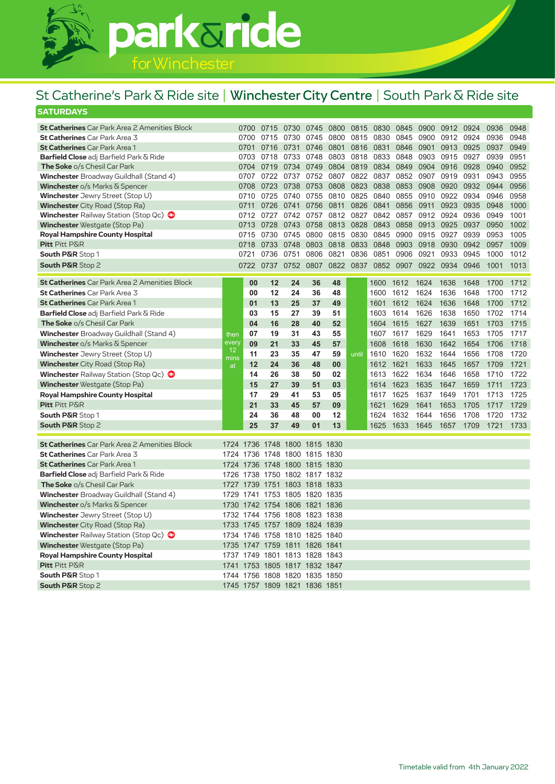

#### **SATURDAYS** St Catherine's Park & Ride site | Winchester City Centre | South Park & Ride site

| <b>St Catherines</b> Car Park Area 2 Amenities Block      |            | 0700         | 0715      | 0730                          | 0745 | 0800      | 0815      | 0830      | 0845 | 0900 | 0912      | 0924 | 0936 | 0948 |
|-----------------------------------------------------------|------------|--------------|-----------|-------------------------------|------|-----------|-----------|-----------|------|------|-----------|------|------|------|
| St Catherines Car Park Area 3                             |            | 0700         | 0715      | 0730                          | 0745 | 0800      | 0815      | 0830      | 0845 | 0900 | 0912      | 0924 | 0936 | 0948 |
| <b>St Catherines</b> Car Park Area 1                      |            | 0701         | 0716      | 0731                          | 0746 | 0801      | 0816      | 0831      | 0846 | 0901 | 0913      | 0925 | 0937 | 0949 |
| <b>Barfield Close</b> adj Barfield Park & Ride            |            | 0703         | 0718      | 0733                          | 0748 | 0803      | 0818      | 0833      | 0848 |      | 0903 0915 | 0927 | 0939 | 0951 |
| <b>The Soke</b> o/s Chesil Car Park                       |            | 0704         | 0719      | 0734                          | 0749 | 0804      | 0819      | 0834      | 0849 | 0904 | 0916      | 0928 | 0940 | 0952 |
| <b>Winchester</b> Broadway Guildhall (Stand 4)            |            | 0707<br>0722 |           | 0737                          |      | 0752 0807 |           | 0822 0837 | 0852 | 0907 | 0919      | 0931 | 0943 | 0955 |
| <b>Winchester</b> o/s Marks & Spencer                     |            | 0708         | 0723      | 0738                          | 0753 | 0808      | 0823      | 0838      | 0853 | 0908 | 0920      | 0932 | 0944 | 0956 |
| Winchester Jewry Street (Stop U)                          |            | 0710         | 0725      | 0740                          | 0755 | 0810      | 0825      | 0840      | 0855 | 0910 | 0922      | 0934 | 0946 | 0958 |
| <b>Winchester</b> City Road (Stop Ra)                     |            | 0711         | 0726      | 0741                          | 0756 | 0811      | 0826      | 0841      | 0856 | 0911 | 0923      | 0935 | 0948 | 1000 |
| <b>Winchester</b> Railway Station (Stop Qc)               |            | 0712         | 0727      | 0742                          | 0757 | 0812      | 0827      | 0842      | 0857 | 0912 | 0924      | 0936 | 0949 | 1001 |
| <b>Winchester</b> Westgate (Stop Pa)                      |            | 0713         | 0728      | 0743                          | 0758 | 0813      | 0828      | 0843      | 0858 | 0913 | 0925      | 0937 | 0950 | 1002 |
| <b>Royal Hampshire County Hospital</b>                    |            | 0715         | 0730      | 0745                          | 0800 | 0815      | 0830      | 0845      | 0900 | 0915 | 0927      | 0939 | 0953 | 1005 |
| <b>Pitt Pitt P&amp;R</b>                                  |            | 0718         | 0733      | 0748                          | 0803 | 0818      | 0833      | 0848      | 0903 | 0918 | 0930      | 0942 | 0957 | 1009 |
| <b>South P&amp;R Stop 1</b>                               |            | 0721         | 0736      | 0751                          | 0806 | 0821      | 0836      | 0851      | 0906 | 0921 | 0933      | 0945 | 1000 | 1012 |
| <b>South P&amp;R Stop 2</b>                               |            | 0722         | 0737 0752 |                               | 0807 |           | 0822 0837 | 0852      | 0907 | 0922 | 0934      | 0946 | 1001 | 1013 |
| <b>St Catherines</b> Car Park Area 2 Amenities Block      |            | 00           | 12        | 24                            | 36   | 48        |           | 1600      | 1612 | 1624 | 1636      | 1648 | 1700 | 1712 |
| <b>St Catherines</b> Car Park Area 3                      |            | 00           | 12        | 24                            | 36   | 48        |           | 1600      | 1612 | 1624 | 1636      | 1648 | 1700 | 1712 |
| <b>St Catherines</b> Car Park Area 1                      |            | 01           | 13        | 25                            | 37   | 49        |           | 1601      | 1612 | 1624 | 1636      | 1648 | 1700 | 1712 |
| Barfield Close adj Barfield Park & Ride                   |            | 03           | 15        | 27                            | 39   | 51        |           | 1603      | 1614 | 1626 | 1638      | 1650 | 1702 | 1714 |
| The Soke o/s Chesil Car Park                              |            | 04           | 16        | 28                            | 40   | 52        |           | 1604      | 1615 | 1627 | 1639      | 1651 | 1703 | 1715 |
| <b>Winchester</b> Broadway Guildhall (Stand 4)            | then       | 07           | 19        | 31                            | 43   | 55        |           | 1607      | 1617 | 1629 | 1641      | 1653 | 1705 | 1717 |
| <b>Winchester</b> o/s Marks $\overline{\alpha}$ Spencer   | every      | 09           | 21        | 33                            | 45   | 57        |           | 1608      | 1618 | 1630 | 1642      | 1654 | 1706 | 1718 |
| Winchester Jewry Street (Stop U)                          | 12         | 11           | 23        | 35                            | 47   | 59        | until     | 1610      | 1620 | 1632 | 1644      | 1656 | 1708 | 1720 |
| <b>Winchester</b> City Road (Stop Ra)                     | mins<br>at | 12           | 24        | 36                            | 48   | 00        |           | 1612      | 1621 | 1633 | 1645      | 1657 | 1709 | 1721 |
| <b>Winchester</b> Railway Station (Stop Qc)               |            | 14           | 26        | 38                            | 50   | 02        |           | 1613      | 1622 | 1634 | 1646      | 1658 | 1710 | 1722 |
| <b>Winchester</b> Westgate (Stop Pa)                      |            | 15           | 27        | 39                            | 51   | 03        |           | 1614      | 1623 | 1635 | 1647      | 1659 | 1711 | 1723 |
| <b>Royal Hampshire County Hospital</b>                    |            | 17           | 29        | 41                            | 53   | 05        |           | 1617      | 1625 | 1637 | 1649      | 1701 | 1713 | 1725 |
| Pitt Pitt P&R                                             |            | 21           | 33        | 45                            | 57   | 09        |           | 1621      | 1629 | 1641 | 1653      | 1705 | 1717 | 1729 |
| South P&R Stop 1                                          |            | 24           | 36        | 48                            | 00   | 12        |           | 1624      | 1632 | 1644 | 1656      | 1708 | 1720 | 1732 |
| <b>South P&amp;R Stop 2</b>                               |            | 25           | 37        | 49                            | 01   | 13        |           | 1625      | 1633 | 1645 | 1657      | 1709 | 1721 | 1733 |
|                                                           |            |              |           |                               |      |           |           |           |      |      |           |      |      |      |
| <b>St Catherines</b> Car Park Area 2 Amenities Block      |            |              |           | 1724 1736 1748 1800 1815 1830 |      |           |           |           |      |      |           |      |      |      |
| St Catherines Car Park Area 3                             |            |              |           | 1724 1736 1748 1800 1815 1830 |      |           |           |           |      |      |           |      |      |      |
| <b>St Catherines</b> Car Park Area 1                      | 1724       | 1736         |           | 1748 1800 1815 1830           |      |           |           |           |      |      |           |      |      |      |
| Barfield Close adj Barfield Park & Ride                   |            |              |           | 1726 1738 1750 1802 1817 1832 |      |           |           |           |      |      |           |      |      |      |
| The Soke o/s Chesil Car Park                              | 1727       |              |           | 1739 1751 1803 1818 1833      |      |           |           |           |      |      |           |      |      |      |
| <b>Winchester</b> Broadway Guildhall (Stand 4)            | 1729       | 1741         |           | 1753 1805 1820 1835           |      |           |           |           |      |      |           |      |      |      |
| <b>Winchester</b> $o/s$ Marks $\overline{\alpha}$ Spencer | 1730       |              |           | 1742 1754 1806 1821 1836      |      |           |           |           |      |      |           |      |      |      |
| Winchester Jewry Street (Stop U)                          | 1732       |              |           | 1744 1756 1808 1823 1838      |      |           |           |           |      |      |           |      |      |      |
| <b>Winchester</b> City Road (Stop Ra)                     |            |              |           | 1733 1745 1757 1809 1824 1839 |      |           |           |           |      |      |           |      |      |      |
| <b>Winchester</b> Railway Station (Stop Qc)               | 1734       | 1746         |           | 1758 1810 1825 1840           |      |           |           |           |      |      |           |      |      |      |
| <b>Winchester</b> Westgate (Stop Pa)                      | 1735       | 1747         |           | 1759 1811 1826 1841           |      |           |           |           |      |      |           |      |      |      |
| <b>Royal Hampshire County Hospital</b>                    |            |              |           | 1737 1749 1801 1813 1828 1843 |      |           |           |           |      |      |           |      |      |      |
| <b>Pitt</b> Pitt P&R                                      | 1741       | 1753         |           | 1805 1817 1832 1847           |      |           |           |           |      |      |           |      |      |      |
| <b>South P&amp;R Stop 1</b>                               |            |              |           | 1744 1756 1808 1820 1835 1850 |      |           |           |           |      |      |           |      |      |      |
| <b>South P&amp;R Stop 2</b>                               |            |              |           | 1745 1757 1809 1821 1836 1851 |      |           |           |           |      |      |           |      |      |      |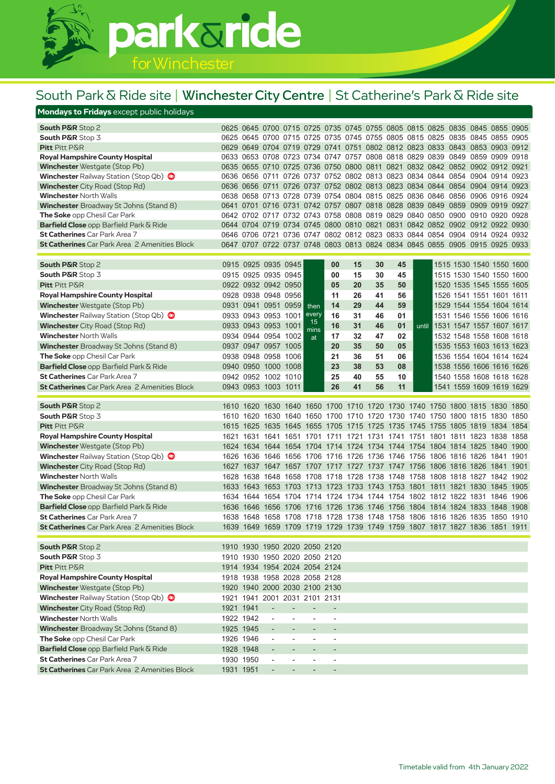# parkaride

### South Park & Ride site | Winchester City Centre | St Catherine's Park & Ride site

#### **Mondays to Fridays** except public holidays

| <b>South P&amp;R</b> Stop 2                                      | 0625 0645 |                               | 0700                                                 |                          |                                                      |                                                      |    |    |                               |       | 0715 0725 0735 0745 0755 0805 0815 0825 0835                               | 0845 0855                | 0905 |
|------------------------------------------------------------------|-----------|-------------------------------|------------------------------------------------------|--------------------------|------------------------------------------------------|------------------------------------------------------|----|----|-------------------------------|-------|----------------------------------------------------------------------------|--------------------------|------|
| <b>South P&amp;R</b> Stop 3                                      | 0625 0645 |                               | 0700                                                 |                          |                                                      |                                                      |    |    |                               |       | 0715 0725 0735 0745 0755 0805 0815 0825 0835                               | 0845 0855                | 0905 |
| <b>Pitt</b> Pitt P&R                                             | 0629 0649 |                               |                                                      |                          |                                                      |                                                      |    |    |                               |       | 0704 0719 0729 0741 0751 0802 0812 0823 0833 0843 0853 0903                |                          | 0912 |
| <b>Royal Hampshire County Hospital</b>                           |           |                               |                                                      |                          |                                                      |                                                      |    |    |                               |       | 0633 0653 0708 0723 0734 0747 0757 0808 0818 0829 0839 0849 0859 0909 0918 |                          |      |
| <b>Winchester</b> Westgate (Stop Pb)                             | 0635 0655 |                               |                                                      |                          |                                                      |                                                      |    |    |                               |       | 0710 0725 0736 0750 0800 0811 0821 0832 0842 0852 0902 0912                |                          | 0921 |
| <b>Winchester</b> Railway Station (Stop Qb)                      | 0636 0656 |                               |                                                      |                          |                                                      |                                                      |    |    |                               |       | 0711 0726 0737 0752 0802 0813 0823 0834 0844 0854 0904 0914                |                          | 0923 |
| <b>Winchester</b> City Road (Stop Rd)                            | 0636 0656 |                               |                                                      |                          |                                                      |                                                      |    |    |                               |       | 0711 0726 0737 0752 0802 0813 0823 0834 0844 0854 0904 0914                |                          | 0923 |
| <b>Winchester</b> North Walls                                    |           |                               |                                                      |                          |                                                      |                                                      |    |    |                               |       | 0638 0658 0713 0728 0739 0754 0804 0815 0825 0836 0846 0856 0906 0916      |                          | 0924 |
| Winchester Broadway St Johns (Stand 8)                           | 0641 0701 |                               |                                                      |                          |                                                      |                                                      |    |    |                               |       | 0716 0731 0742 0757 0807 0818 0828 0839 0849 0859                          | 0909 0919                | 0927 |
| <b>The Soke</b> opp Chesil Car Park                              | 0642 0702 |                               | 0717                                                 |                          |                                                      |                                                      |    |    |                               |       | 0732 0743 0758 0808 0819 0829 0840 0850 0900 0910 0920                     |                          | 0928 |
| Barfield Close opp Barfield Park & Ride                          | 0644 0704 |                               |                                                      |                          |                                                      |                                                      |    |    |                               |       | 0719 0734 0745 0800 0810 0821 0831 0842 0852 0902 0912 0922                |                          | 0930 |
| <b>St Catherines</b> Car Park Area 7                             |           |                               |                                                      |                          |                                                      |                                                      |    |    |                               |       | 0646 0706 0721 0736 0747 0802 0812 0823 0833 0844 0854 0904 0914 0924 0932 |                          |      |
| <b>St Catherines</b> Car Park Area 2 Amenities Block             |           |                               |                                                      |                          |                                                      |                                                      |    |    |                               |       | 0647 0707 0722 0737 0748 0803 0813 0824 0834 0845 0855 0905 0915 0925 0933 |                          |      |
| <b>South P&amp;R Stop 2</b>                                      |           | 0915 0925 0935 0945           |                                                      |                          |                                                      | 00                                                   | 15 | 30 | 45                            |       |                                                                            | 1515 1530 1540 1550 1600 |      |
| <b>South P&amp;R</b> Stop 3                                      |           | 0915 0925 0935 0945           |                                                      |                          |                                                      | 00                                                   | 15 | 30 | 45                            |       |                                                                            | 1515 1530 1540 1550 1600 |      |
| <b>Pitt</b> Pitt P&R                                             |           | 0922 0932 0942 0950           |                                                      |                          |                                                      | 05                                                   | 20 | 35 | 50                            |       |                                                                            | 1520 1535 1545 1555 1605 |      |
| <b>Royal Hampshire County Hospital</b>                           |           | 0928 0938 0948 0956           |                                                      |                          |                                                      | 11                                                   | 26 | 41 | 56                            |       |                                                                            | 1526 1541 1551 1601 1611 |      |
| <b>Winchester</b> Westgate (Stop Pb)                             |           | 0931 0941 0951 0959           |                                                      |                          |                                                      | 14                                                   | 29 | 44 | 59                            |       |                                                                            | 1529 1544 1554 1604 1614 |      |
| <b>Winchester</b> Railway Station (Stop Qb)                      |           | 0933 0943 0953 1001           |                                                      |                          | then<br>every                                        | 16                                                   | 31 | 46 | 01                            |       |                                                                            | 1531 1546 1556 1606 1616 |      |
| <b>Winchester</b> City Road (Stop Rd)                            |           | 0933 0943 0953 1001           |                                                      |                          | 15                                                   | 16                                                   | 31 | 46 | 01                            | until |                                                                            | 1531 1547 1557 1607 1617 |      |
| <b>Winchester North Walls</b>                                    |           | 0934 0944 0954 1002           |                                                      |                          | mins                                                 | 17                                                   | 32 | 47 | 02                            |       |                                                                            | 1532 1548 1558 1608 1618 |      |
| Winchester Broadway St Johns (Stand 8)                           | 0937      |                               | 0947 0957 1005                                       |                          | at                                                   | 20                                                   | 35 | 50 | 05                            |       |                                                                            | 1535 1553 1603 1613 1623 |      |
| <b>The Soke</b> opp Chesil Car Park                              |           | 0938 0948 0958 1006           |                                                      |                          |                                                      | 21                                                   | 36 | 51 | 06                            |       |                                                                            | 1536 1554 1604 1614 1624 |      |
| <b>Barfield Close</b> opp Barfield Park $\overline{\alpha}$ Ride |           | 0940 0950 1000 1008           |                                                      |                          |                                                      | 23                                                   | 38 | 53 | 08                            |       |                                                                            | 1538 1556 1606 1616 1626 |      |
| <b>St Catherines</b> Car Park Area 7                             |           | 0942 0952 1002 1010           |                                                      |                          |                                                      | 25                                                   | 40 | 55 | 10                            |       |                                                                            | 1540 1558 1608 1618 1628 |      |
| <b>St Catherines</b> Car Park Area 2 Amenities Block             |           | 0943 0953 1003 1011           |                                                      |                          |                                                      | 26                                                   | 41 | 56 | 11                            |       |                                                                            | 1541 1559 1609 1619 1629 |      |
|                                                                  |           |                               |                                                      |                          |                                                      |                                                      |    |    |                               |       |                                                                            |                          |      |
| <b>South P&amp;R</b> Stop 2                                      |           |                               |                                                      |                          |                                                      |                                                      |    |    |                               |       | 1610 1620 1630 1640 1650 1700 1710 1720 1730 1740 1750 1800 1815 1830      |                          | 1850 |
| <b>South P&amp;R</b> Stop 3                                      | 1610      | 1620                          |                                                      |                          |                                                      |                                                      |    |    |                               |       | 1630 1640 1650 1700 1710 1720 1730 1740 1750 1800 1815 1830                |                          | 1850 |
| Pitt Pitt P&R                                                    | 1615      | 1625                          |                                                      | 1635 1645                |                                                      |                                                      |    |    |                               |       | 1655 1705 1715 1725 1735 1745 1755 1805 1819 1834                          |                          | 1854 |
| <b>Royal Hampshire County Hospital</b>                           | 1621      |                               |                                                      |                          |                                                      |                                                      |    |    |                               |       | 1631 1641 1651 1701 1711 1721 1731 1741 1751 1801 1811 1823 1838           |                          | 1858 |
| <b>Winchester</b> Westgate (Stop Pb)                             | 1624      |                               | 1634 1644 1654                                       |                          |                                                      |                                                      |    |    |                               |       | 1704 1714 1724 1734 1744 1754 1804 1814 1825 1840                          |                          | 1900 |
| <b>Winchester</b> Railway Station (Stop Qb)                      | 1626      | 1636                          |                                                      | 1646 1656                |                                                      |                                                      |    |    |                               |       | 1706 1716 1726 1736 1746 1756 1806 1816 1826 1841                          |                          | 1901 |
| <b>Winchester</b> City Road (Stop Rd)                            | 1627      | 1637                          |                                                      | 1647 1657                |                                                      |                                                      |    |    | 1707 1717 1727 1737 1747 1756 |       |                                                                            | 1806 1816 1826 1841      | 1901 |
| <b>Winchester North Walls</b>                                    | 1628      | 1638                          |                                                      | 1648 1658                |                                                      |                                                      |    |    |                               |       | 1708 1718 1728 1738 1748 1758 1808 1818 1827 1842                          |                          | 1902 |
| <b>Winchester</b> Broadway St Johns (Stand 8)                    | 1633      | 1643 1653 1703                |                                                      |                          |                                                      |                                                      |    |    |                               |       | 1713 1723 1733 1743 1753 1801 1811 1821 1830 1845                          |                          | 1905 |
| <b>The Soke</b> opp Chesil Car Park                              |           |                               |                                                      |                          |                                                      |                                                      |    |    |                               |       | 1634 1644 1654 1704 1714 1724 1734 1744 1754 1802 1812 1822 1831 1846 1906 |                          |      |
| Barfield Close opp Barfield Park & Ride                          | 1636      | 1646                          | 1656 1706                                            |                          |                                                      |                                                      |    |    |                               |       | 1716 1726 1736 1746 1756 1804 1814 1824 1833 1848                          |                          | 1908 |
| <b>St Catherines</b> Car Park Area 7                             | 1638      |                               | 1648 1658 1708                                       |                          |                                                      |                                                      |    |    |                               |       | 1718 1728 1738 1748 1758 1806 1816 1826 1835 1850                          |                          | 1910 |
| <b>St Catherines</b> Car Park Area 2 Amenities Block             |           |                               |                                                      |                          |                                                      |                                                      |    |    |                               |       | 1639 1649 1659 1709 1719 1729 1739 1749 1759 1807 1817 1827 1836 1851 1911 |                          |      |
|                                                                  |           |                               |                                                      |                          |                                                      |                                                      |    |    |                               |       |                                                                            |                          |      |
| South P&R Stop 2                                                 |           | 1910 1930 1950 2020 2050 2120 |                                                      |                          |                                                      |                                                      |    |    |                               |       |                                                                            |                          |      |
| <b>South P&amp;R</b> Stop 3                                      |           | 1910 1930 1950 2020 2050 2120 |                                                      |                          |                                                      |                                                      |    |    |                               |       |                                                                            |                          |      |
| Pitt Pitt P&R                                                    |           | 1914 1934 1954 2024 2054 2124 |                                                      |                          |                                                      |                                                      |    |    |                               |       |                                                                            |                          |      |
| <b>Royal Hampshire County Hospital</b>                           |           | 1918 1938 1958 2028 2058 2128 |                                                      |                          |                                                      |                                                      |    |    |                               |       |                                                                            |                          |      |
| <b>Winchester</b> Westgate (Stop Pb)                             |           | 1920 1940 2000 2030 2100 2130 |                                                      |                          |                                                      |                                                      |    |    |                               |       |                                                                            |                          |      |
| Winchester Railway Station (Stop Qb)                             |           | 1921 1941 2001 2031 2101 2131 |                                                      |                          |                                                      |                                                      |    |    |                               |       |                                                                            |                          |      |
| <b>Winchester</b> City Road (Stop Rd)                            | 1921 1941 |                               | $\overline{\phantom{a}}$                             | $\overline{\phantom{a}}$ | $\overline{a}$                                       |                                                      |    |    |                               |       |                                                                            |                          |      |
| <b>Winchester North Walls</b>                                    | 1922 1942 |                               | $\overline{\phantom{a}}$                             | $\overline{\phantom{a}}$ | $\overline{a}$                                       | $\overline{\phantom{a}}$                             |    |    |                               |       |                                                                            |                          |      |
| <b>Winchester</b> Broadway St Johns (Stand 8)                    |           | 1925 1945                     | $\overline{\phantom{a}}$                             | $\overline{\phantom{a}}$ | $\overline{\phantom{a}}$                             | $\overline{\phantom{a}}$                             |    |    |                               |       |                                                                            |                          |      |
| <b>The Soke</b> opp Chesil Car Park                              |           | 1926 1946                     | $\overline{\phantom{a}}$                             | $\overline{\phantom{a}}$ | $\overline{\phantom{a}}$                             | $\overline{\phantom{a}}$                             |    |    |                               |       |                                                                            |                          |      |
| Barfield Close opp Barfield Park & Ride                          |           | 1928 1948                     |                                                      | $\overline{\phantom{a}}$ |                                                      | $\overline{\phantom{a}}$                             |    |    |                               |       |                                                                            |                          |      |
| St Catherines Car Park Area 7                                    |           |                               |                                                      |                          |                                                      |                                                      |    |    |                               |       |                                                                            |                          |      |
| <b>St Catherines</b> Car Park Area 2 Amenities Block             |           | 1930 1950<br>1931 1951        | $\overline{\phantom{a}}$<br>$\overline{\phantom{a}}$ | $\overline{\phantom{a}}$ | $\overline{\phantom{a}}$<br>$\overline{\phantom{a}}$ | $\overline{\phantom{a}}$<br>$\overline{\phantom{a}}$ |    |    |                               |       |                                                                            |                          |      |